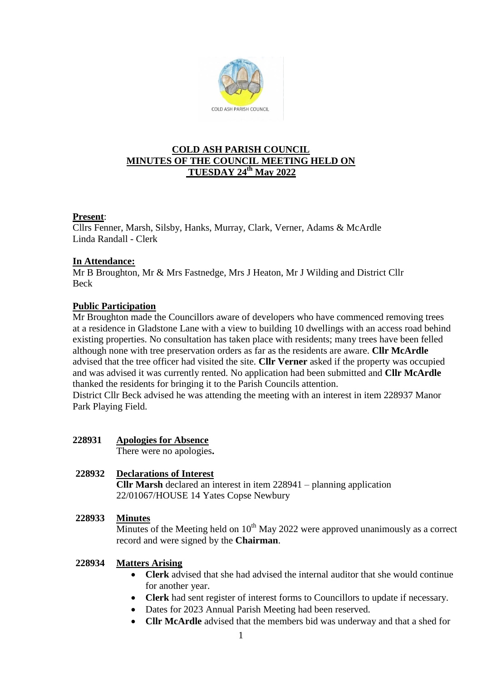

# **COLD ASH PARISH COUNCIL MINUTES OF THE COUNCIL MEETING HELD ON TUESDAY 24th May 2022**

## **Present**:

Cllrs Fenner, Marsh, Silsby, Hanks, Murray, Clark, Verner, Adams & McArdle Linda Randall - Clerk

## **In Attendance:**

Mr B Broughton, Mr & Mrs Fastnedge, Mrs J Heaton, Mr J Wilding and District Cllr Beck

# **Public Participation**

Mr Broughton made the Councillors aware of developers who have commenced removing trees at a residence in Gladstone Lane with a view to building 10 dwellings with an access road behind existing properties. No consultation has taken place with residents; many trees have been felled although none with tree preservation orders as far as the residents are aware. **Cllr McArdle** advised that the tree officer had visited the site. **Cllr Verner** asked if the property was occupied and was advised it was currently rented. No application had been submitted and **Cllr McArdle** thanked the residents for bringing it to the Parish Councils attention.

District Cllr Beck advised he was attending the meeting with an interest in item 228937 Manor Park Playing Field.

**228931 Apologies for Absence** 

There were no apologies**.**

### **228932 Declarations of Interest**

**Cllr Marsh** declared an interest in item 228941 – planning application 22/01067/HOUSE 14 Yates Copse Newbury

### **228933 Minutes**

Minutes of the Meeting held on  $10<sup>th</sup>$  May 2022 were approved unanimously as a correct record and were signed by the **Chairman**.

### **228934 Matters Arising**

- **Clerk** advised that she had advised the internal auditor that she would continue for another year.
- **Clerk** had sent register of interest forms to Councillors to update if necessary.
- Dates for 2023 Annual Parish Meeting had been reserved.
- **Cllr McArdle** advised that the members bid was underway and that a shed for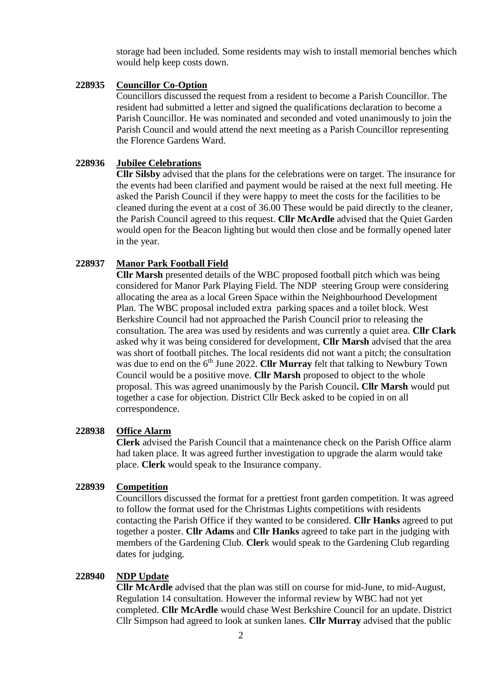storage had been included. Some residents may wish to install memorial benches which would help keep costs down.

### **228935 Councillor Co-Option**

Councillors discussed the request from a resident to become a Parish Councillor. The resident had submitted a letter and signed the qualifications declaration to become a Parish Councillor. He was nominated and seconded and voted unanimously to join the Parish Council and would attend the next meeting as a Parish Councillor representing the Florence Gardens Ward.

#### **228936 Jubilee Celebrations**

**Cllr Silsby** advised that the plans for the celebrations were on target. The insurance for the events had been clarified and payment would be raised at the next full meeting. He asked the Parish Council if they were happy to meet the costs for the facilities to be cleaned during the event at a cost of 36.00 These would be paid directly to the cleaner, the Parish Council agreed to this request. **Cllr McArdle** advised that the Quiet Garden would open for the Beacon lighting but would then close and be formally opened later in the year.

#### **228937 Manor Park Football Field**

**Cllr Marsh** presented details of the WBC proposed football pitch which was being considered for Manor Park Playing Field. The NDP steering Group were considering allocating the area as a local Green Space within the Neighbourhood Development Plan. The WBC proposal included extra parking spaces and a toilet block. West Berkshire Council had not approached the Parish Council prior to releasing the consultation. The area was used by residents and was currently a quiet area. **Cllr Clark** asked why it was being considered for development, **Cllr Marsh** advised that the area was short of football pitches. The local residents did not want a pitch; the consultation was due to end on the  $6<sup>th</sup>$  June 2022. **Cllr Murray** felt that talking to Newbury Town Council would be a positive move. **Cllr Marsh** proposed to object to the whole proposal. This was agreed unanimously by the Parish Council**. Cllr Marsh** would put together a case for objection. District Cllr Beck asked to be copied in on all correspondence.

#### **228938 Office Alarm**

**Clerk** advised the Parish Council that a maintenance check on the Parish Office alarm had taken place. It was agreed further investigation to upgrade the alarm would take place. **Clerk** would speak to the Insurance company.

#### **228939 Competition**

Councillors discussed the format for a prettiest front garden competition. It was agreed to follow the format used for the Christmas Lights competitions with residents contacting the Parish Office if they wanted to be considered. **Cllr Hanks** agreed to put together a poster. **Cllr Adams** and **Cllr Hanks** agreed to take part in the judging with members of the Gardening Club. **Cler**k would speak to the Gardening Club regarding dates for judging.

#### **228940 NDP Update**

**Cllr McArdle** advised that the plan was still on course for mid-June, to mid-August, Regulation 14 consultation. However the informal review by WBC had not yet completed. **Cllr McArdle** would chase West Berkshire Council for an update. District Cllr Simpson had agreed to look at sunken lanes. **Cllr Murray** advised that the public